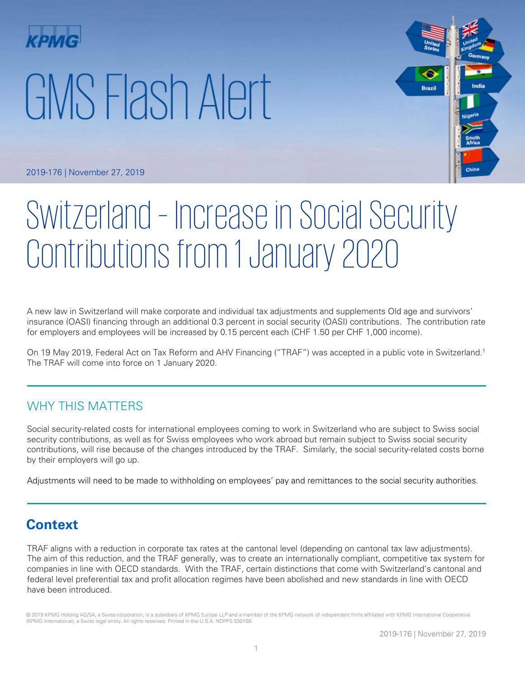# GMS Flash Alert



2019-176 | November 27, 2019

# Switzerland – Increase in Social Security Contributions from 1 January 2020

A new law in Switzerland will make corporate and individual tax adjustments and supplements Old age and survivors' insurance (OASI) financing through an additional 0.3 percent in social security (OASI) contributions. The contribution rate for employers and employees will be increased by 0.15 percent each (CHF 1.50 per CHF 1,000 income).

On 19 May 2019, Federal Act on Tax Reform and AHV Financing ("TRAF") was accepted in a public vote in Switzerland.<sup>1</sup> The TRAF will come into force on 1 January 2020.

## WHY THIS MATTERS

Social security-related costs for international employees coming to work in Switzerland who are subject to Swiss social security contributions, as well as for Swiss employees who work abroad but remain subject to Swiss social security contributions, will rise because of the changes introduced by the TRAF. Similarly, the social security-related costs borne by their employers will go up.

Adjustments will need to be made to withholding on employees' pay and remittances to the social security authorities.

# **Context**

TRAF aligns with a reduction in corporate tax rates at the cantonal level (depending on cantonal tax law adjustments). The aim of this reduction, and the TRAF generally, was to create an internationally compliant, competitive tax system for companies in line with OECD standards. With the TRAF, certain distinctions that come with Switzerland's cantonal and federal level preferential tax and profit allocation regimes have been abolished and new standards in line with OECD have been introduced.

© 2019 KPMG Holding AG/SA, a Swiss corporation, is a subsidiary of KPMG Europe LLP and a member of the KPMG network of independent firms affiliated with KPMG International Cooperative (KPMG International), a Swiss legal entity. All rights reserved. Printed in the U.S.A. NDPPS 530159.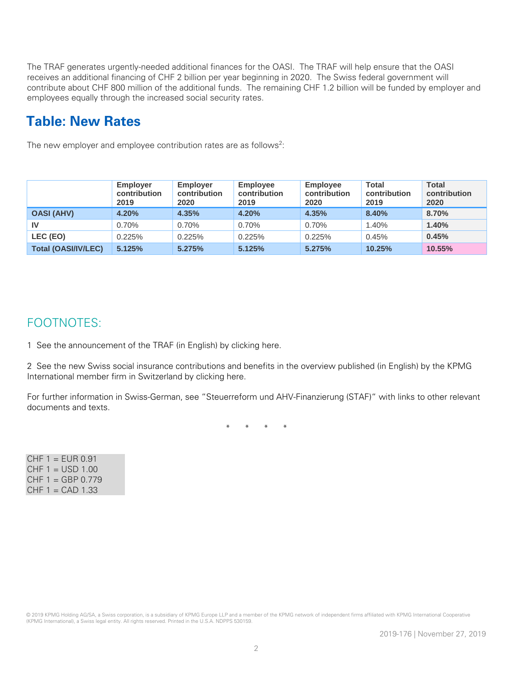The TRAF generates urgently-needed additional finances for the OASI. The TRAF will help ensure that the OASI receives an additional financing of CHF 2 billion per year beginning in 2020. The Swiss federal government will contribute about CHF 800 million of the additional funds. The remaining CHF 1.2 billion will be funded by employer and employees equally through the increased social security rates.

# **Table: New Rates**

The new employer and employee contribution rates are as follows<sup>2</sup>:

|                            | <b>Employer</b><br>contribution<br>2019 | <b>Employer</b><br>contribution<br>2020 | <b>Employee</b><br>contribution<br>2019 | <b>Employee</b><br>contribution<br>2020 | <b>Total</b><br>contribution<br>2019 | <b>Total</b><br>contribution<br>2020 |
|----------------------------|-----------------------------------------|-----------------------------------------|-----------------------------------------|-----------------------------------------|--------------------------------------|--------------------------------------|
| <b>OASI (AHV)</b>          | 4.20%                                   | 4.35%                                   | 4.20%                                   | 4.35%                                   | 8.40%                                | 8.70%                                |
| IV                         | 0.70%                                   | 0.70%                                   | 0.70%                                   | 0.70%                                   | 1.40%                                | 1.40%                                |
| LEC (EO)                   | 0.225%                                  | 0.225%                                  | 0.225%                                  | 0.225%                                  | 0.45%                                | 0.45%                                |
| <b>Total (OASI/IV/LEC)</b> | 5.125%                                  | 5.275%                                  | 5.125%                                  | 5.275%                                  | 10.25%                               | 10.55%                               |

### FOOTNOTES:

1 See the announcement of the TRAF (in English) by clicking here.

2 See the new Swiss social insurance contributions and benefits in the overview published (in English) by the KPMG International member firm in Switzerland by clicking here.

For further information in Swiss-German, see "Steuerreform und AHV-Finanzierung (STAF)" with links to other relevant documents and texts.

\* \* \* \*

 $CHF 1 = EUR 0.91$  $CHF 1 = USD 1.00$  $CHF 1 = GBP 0.779$  $CHF 1 = CAD 1.33$ 

© 2019 KPMG Holding AG/SA, a Swiss corporation, is a subsidiary of KPMG Europe LLP and a member of the KPMG network of independent firms affiliated with KPMG International Cooperative (KPMG International), a Swiss legal entity. All rights reserved. Printed in the U.S.A. NDPPS 530159.